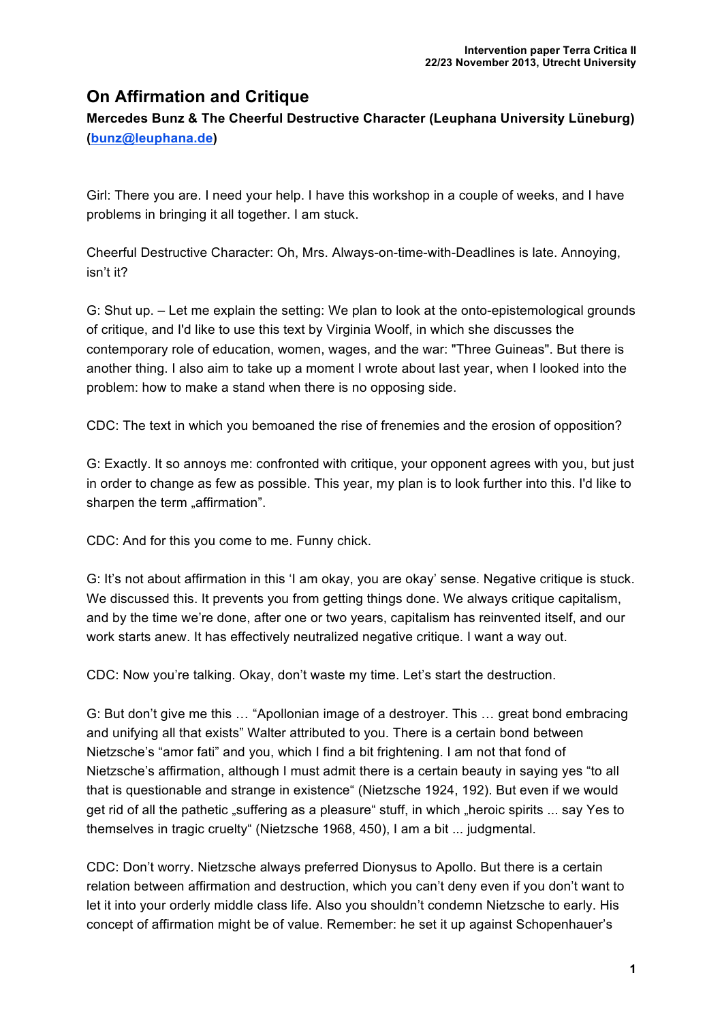# **On Affirmation and Critique**

**Mercedes Bunz & The Cheerful Destructive Character (Leuphana University Lüneburg) (bunz@leuphana.de)**

Girl: There you are. I need your help. I have this workshop in a couple of weeks, and I have problems in bringing it all together. I am stuck.

Cheerful Destructive Character: Oh, Mrs. Always-on-time-with-Deadlines is late. Annoying, isn't it?

G: Shut up. – Let me explain the setting: We plan to look at the onto-epistemological grounds of critique, and I'd like to use this text by Virginia Woolf, in which she discusses the contemporary role of education, women, wages, and the war: "Three Guineas". But there is another thing. I also aim to take up a moment I wrote about last year, when I looked into the problem: how to make a stand when there is no opposing side.

CDC: The text in which you bemoaned the rise of frenemies and the erosion of opposition?

G: Exactly. It so annoys me: confronted with critique, your opponent agrees with you, but just in order to change as few as possible. This year, my plan is to look further into this. I'd like to sharpen the term "affirmation".

CDC: And for this you come to me. Funny chick.

G: It's not about affirmation in this 'I am okay, you are okay' sense. Negative critique is stuck. We discussed this. It prevents you from getting things done. We always critique capitalism, and by the time we're done, after one or two years, capitalism has reinvented itself, and our work starts anew. It has effectively neutralized negative critique. I want a way out.

CDC: Now you're talking. Okay, don't waste my time. Let's start the destruction.

G: But don't give me this … "Apollonian image of a destroyer. This … great bond embracing and unifying all that exists" Walter attributed to you. There is a certain bond between Nietzsche's "amor fati" and you, which I find a bit frightening. I am not that fond of Nietzsche's affirmation, although I must admit there is a certain beauty in saying yes "to all that is questionable and strange in existence" (Nietzsche 1924, 192). But even if we would get rid of all the pathetic "suffering as a pleasure" stuff, in which "heroic spirits ... say Yes to themselves in tragic cruelty" (Nietzsche 1968, 450), I am a bit ... judgmental.

CDC: Don't worry. Nietzsche always preferred Dionysus to Apollo. But there is a certain relation between affirmation and destruction, which you can't deny even if you don't want to let it into your orderly middle class life. Also you shouldn't condemn Nietzsche to early. His concept of affirmation might be of value. Remember: he set it up against Schopenhauer's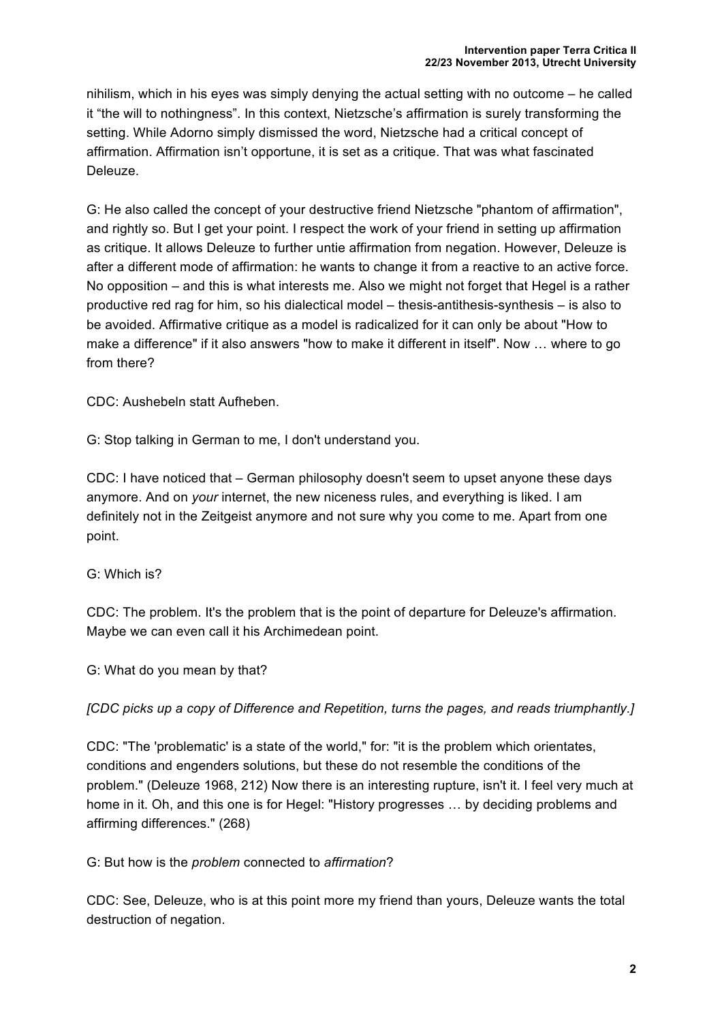nihilism, which in his eyes was simply denying the actual setting with no outcome – he called it "the will to nothingness". In this context, Nietzsche's affirmation is surely transforming the setting. While Adorno simply dismissed the word, Nietzsche had a critical concept of affirmation. Affirmation isn't opportune, it is set as a critique. That was what fascinated Deleuze.

G: He also called the concept of your destructive friend Nietzsche "phantom of affirmation", and rightly so. But I get your point. I respect the work of your friend in setting up affirmation as critique. It allows Deleuze to further untie affirmation from negation. However, Deleuze is after a different mode of affirmation: he wants to change it from a reactive to an active force. No opposition – and this is what interests me. Also we might not forget that Hegel is a rather productive red rag for him, so his dialectical model – thesis-antithesis-synthesis – is also to be avoided. Affirmative critique as a model is radicalized for it can only be about "How to make a difference" if it also answers "how to make it different in itself". Now … where to go from there?

CDC: Aushebeln statt Aufheben.

G: Stop talking in German to me, I don't understand you.

CDC: I have noticed that – German philosophy doesn't seem to upset anyone these days anymore. And on *your* internet, the new niceness rules, and everything is liked. I am definitely not in the Zeitgeist anymore and not sure why you come to me. Apart from one point.

## G: Which is?

CDC: The problem. It's the problem that is the point of departure for Deleuze's affirmation. Maybe we can even call it his Archimedean point.

### G: What do you mean by that?

*[CDC picks up a copy of Difference and Repetition, turns the pages, and reads triumphantly.]*

CDC: "The 'problematic' is a state of the world," for: "it is the problem which orientates, conditions and engenders solutions, but these do not resemble the conditions of the problem." (Deleuze 1968, 212) Now there is an interesting rupture, isn't it. I feel very much at home in it. Oh, and this one is for Hegel: "History progresses … by deciding problems and affirming differences." (268)

### G: But how is the *problem* connected to *affirmation*?

CDC: See, Deleuze, who is at this point more my friend than yours, Deleuze wants the total destruction of negation.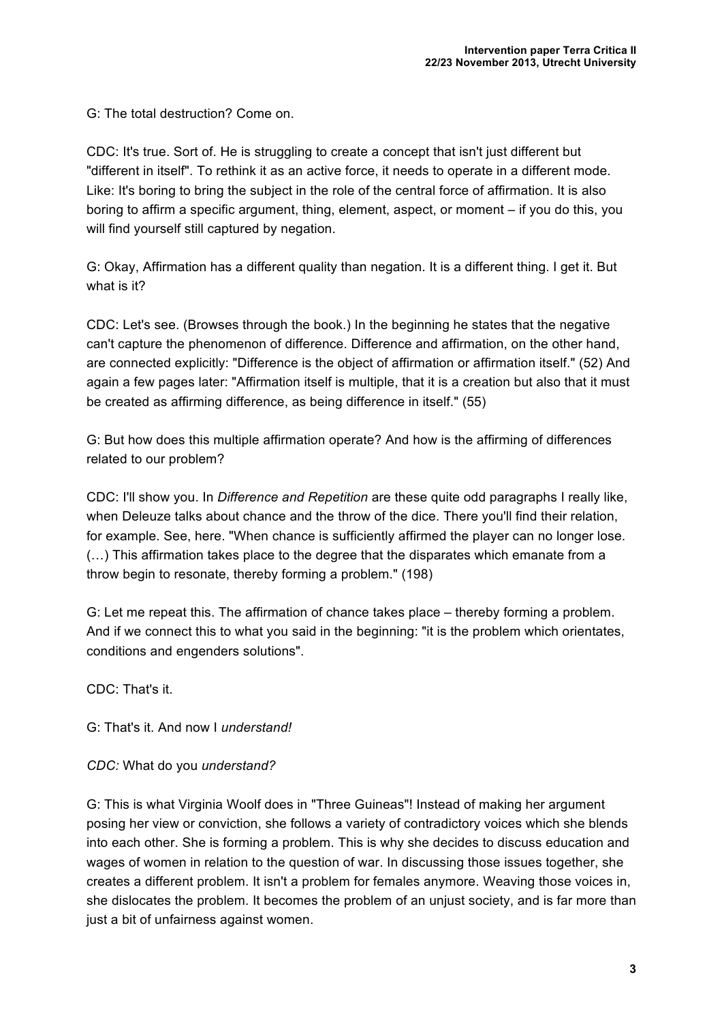G: The total destruction? Come on.

CDC: It's true. Sort of. He is struggling to create a concept that isn't just different but "different in itself". To rethink it as an active force, it needs to operate in a different mode. Like: It's boring to bring the subject in the role of the central force of affirmation. It is also boring to affirm a specific argument, thing, element, aspect, or moment – if you do this, you will find yourself still captured by negation.

G: Okay, Affirmation has a different quality than negation. It is a different thing. I get it. But what is it?

CDC: Let's see. (Browses through the book.) In the beginning he states that the negative can't capture the phenomenon of difference. Difference and affirmation, on the other hand, are connected explicitly: "Difference is the object of affirmation or affirmation itself." (52) And again a few pages later: "Affirmation itself is multiple, that it is a creation but also that it must be created as affirming difference, as being difference in itself." (55)

G: But how does this multiple affirmation operate? And how is the affirming of differences related to our problem?

CDC: I'll show you. In *Difference and Repetition* are these quite odd paragraphs I really like, when Deleuze talks about chance and the throw of the dice. There you'll find their relation, for example. See, here. "When chance is sufficiently affirmed the player can no longer lose. (…) This affirmation takes place to the degree that the disparates which emanate from a throw begin to resonate, thereby forming a problem." (198)

G: Let me repeat this. The affirmation of chance takes place – thereby forming a problem. And if we connect this to what you said in the beginning: "it is the problem which orientates, conditions and engenders solutions".

CDC: That's it.

G: That's it. And now I *understand!*

*CDC:* What do you *understand?*

G: This is what Virginia Woolf does in "Three Guineas"! Instead of making her argument posing her view or conviction, she follows a variety of contradictory voices which she blends into each other. She is forming a problem. This is why she decides to discuss education and wages of women in relation to the question of war. In discussing those issues together, she creates a different problem. It isn't a problem for females anymore. Weaving those voices in, she dislocates the problem. It becomes the problem of an unjust society, and is far more than just a bit of unfairness against women.